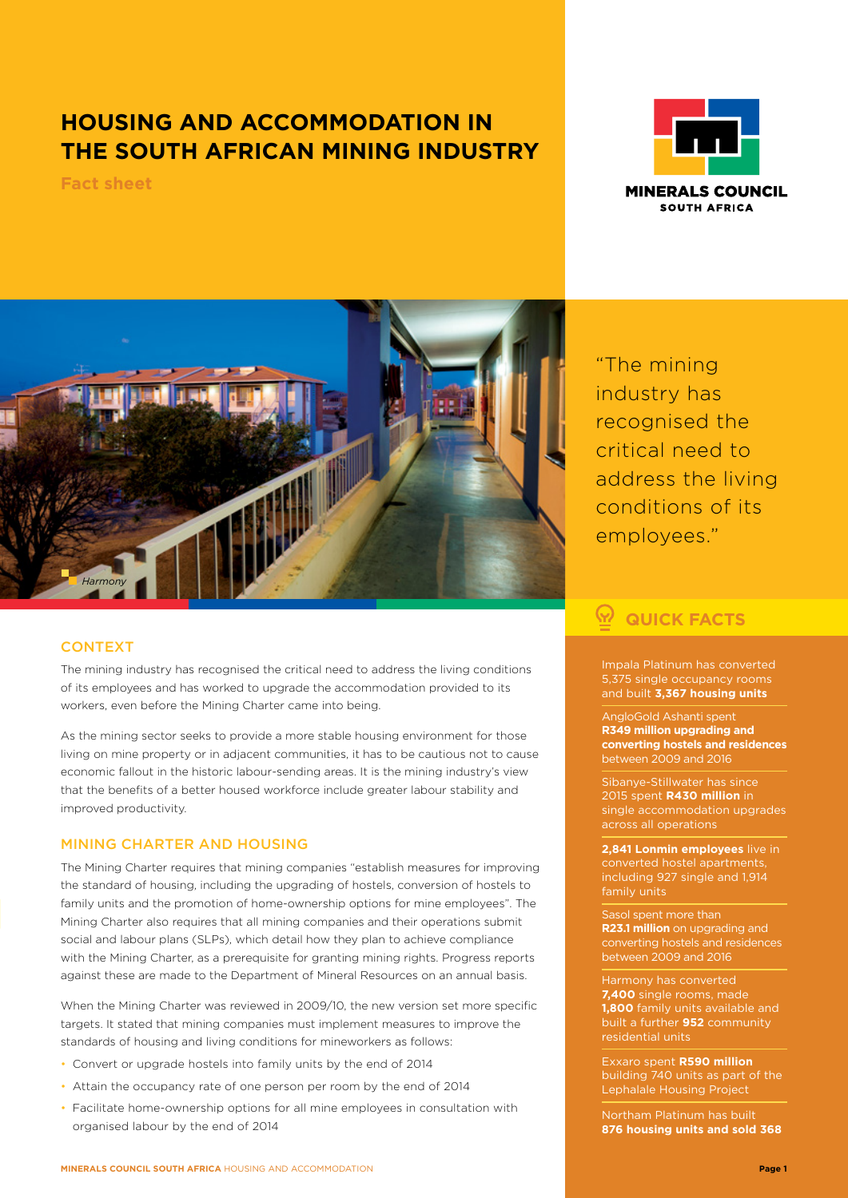## **HOUSING AND ACCOMMODATION IN THE SOUTH AFRICAN MINING INDUSTRY**

**Fact sheet**





### **CONTEXT**

The mining industry has recognised the critical need to address the living conditions of its employees and has worked to upgrade the accommodation provided to its workers, even before the Mining Charter came into being.

As the mining sector seeks to provide a more stable housing environment for those living on mine property or in adjacent communities, it has to be cautious not to cause economic fallout in the historic labour-sending areas. It is the mining industry's view that the benefits of a better housed workforce include greater labour stability and improved productivity.

#### MINING CHARTER AND HOUSING

The Mining Charter requires that mining companies "establish measures for improving the standard of housing, including the upgrading of hostels, conversion of hostels to family units and the promotion of home-ownership options for mine employees". The Mining Charter also requires that all mining companies and their operations submit social and labour plans (SLPs), which detail how they plan to achieve compliance with the Mining Charter, as a prerequisite for granting mining rights. Progress reports against these are made to the Department of Mineral Resources on an annual basis.

When the Mining Charter was reviewed in 2009/10, the new version set more specific targets. It stated that mining companies must implement measures to improve the standards of housing and living conditions for mineworkers as follows:

- Convert or upgrade hostels into family units by the end of 2014
- Attain the occupancy rate of one person per room by the end of 2014
- Facilitate home-ownership options for all mine employees in consultation with organised labour by the end of 2014

"The mining industry has recognised the critical need to address the living conditions of its employees."

# **QUICK FACTS**

Impala Platinum has converted 5,375 single occupancy rooms and built **3,367 housing units**

AngloGold Ashanti spent **R349 million upgrading and converting hostels and residences** between 2009 and 2016

Sibanye-Stillwater has since 2015 spent **R430 million** in single accommodation upgrades across all operations

**2,841 Lonmin employees** live in including 927 single and 1,914

Sasol spent more than **R23.1 million** on upgrading and converting hostels and residences between 2009 and 2016

Harmony has converted **7,400** single rooms, made **1,800** family units available and built a further **952** community residential units

Exxaro spent **R590 million** building 740 units as part of the Lephalale Housing Project

Northam Platinum has built **876 housing units and sold 368**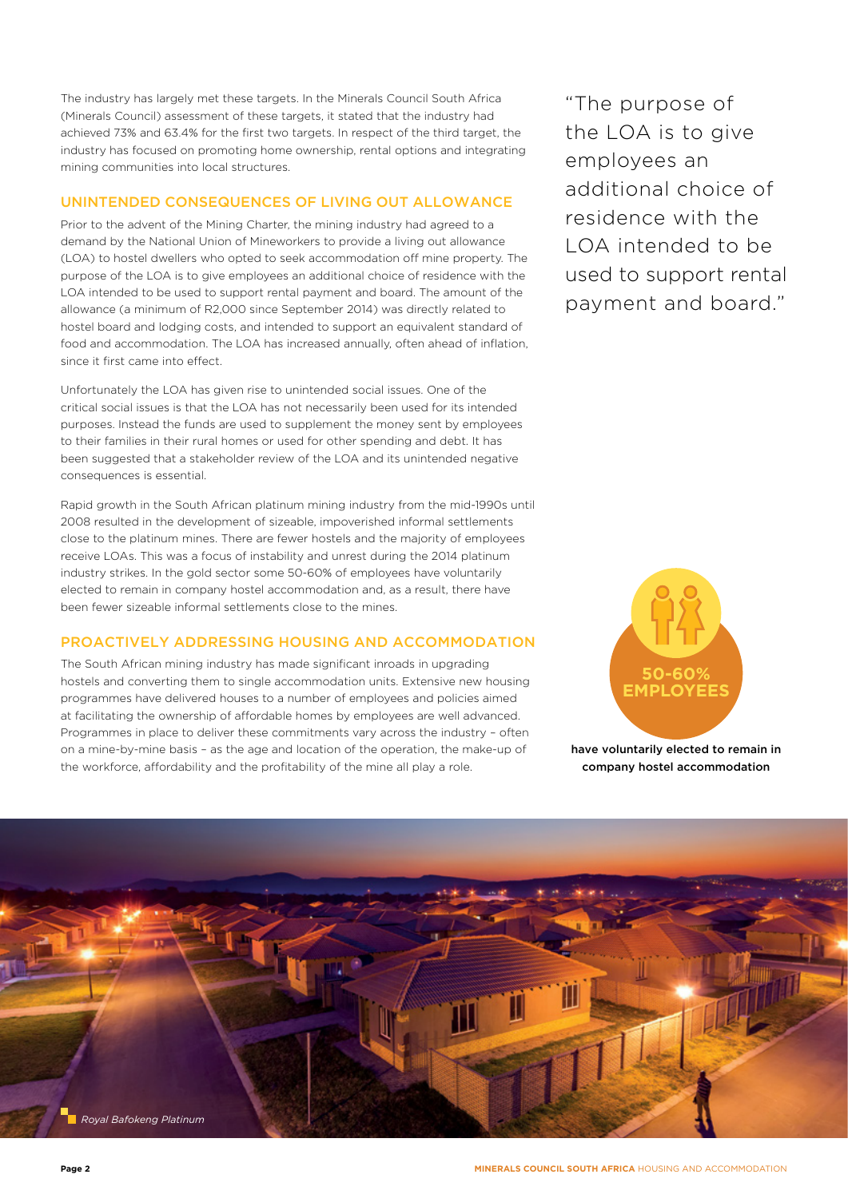The industry has largely met these targets. In the Minerals Council South Africa (Minerals Council) assessment of these targets, it stated that the industry had achieved 73% and 63.4% for the first two targets. In respect of the third target, the industry has focused on promoting home ownership, rental options and integrating mining communities into local structures.

#### UNINTENDED CONSEQUENCES OF LIVING OUT ALLOWANCE

Prior to the advent of the Mining Charter, the mining industry had agreed to a demand by the National Union of Mineworkers to provide a living out allowance (LOA) to hostel dwellers who opted to seek accommodation off mine property. The purpose of the LOA is to give employees an additional choice of residence with the LOA intended to be used to support rental payment and board. The amount of the allowance (a minimum of R2,000 since September 2014) was directly related to hostel board and lodging costs, and intended to support an equivalent standard of food and accommodation. The LOA has increased annually, often ahead of inflation, since it first came into effect.

Unfortunately the LOA has given rise to unintended social issues. One of the critical social issues is that the LOA has not necessarily been used for its intended purposes. Instead the funds are used to supplement the money sent by employees to their families in their rural homes or used for other spending and debt. It has been suggested that a stakeholder review of the LOA and its unintended negative consequences is essential.

Rapid growth in the South African platinum mining industry from the mid-1990s until 2008 resulted in the development of sizeable, impoverished informal settlements close to the platinum mines. There are fewer hostels and the majority of employees receive LOAs. This was a focus of instability and unrest during the 2014 platinum industry strikes. In the gold sector some 50-60% of employees have voluntarily elected to remain in company hostel accommodation and, as a result, there have been fewer sizeable informal settlements close to the mines.

#### PROACTIVELY ADDRESSING HOUSING AND ACCOMMODATION

The South African mining industry has made significant inroads in upgrading hostels and converting them to single accommodation units. Extensive new housing programmes have delivered houses to a number of employees and policies aimed at facilitating the ownership of affordable homes by employees are well advanced. Programmes in place to deliver these commitments vary across the industry – often on a mine-by-mine basis – as the age and location of the operation, the make-up of the workforce, affordability and the profitability of the mine all play a role.

"The purpose of the LOA is to give employees an additional choice of residence with the LOA intended to be used to support rental payment and board."



have voluntarily elected to remain in company hostel accommodation

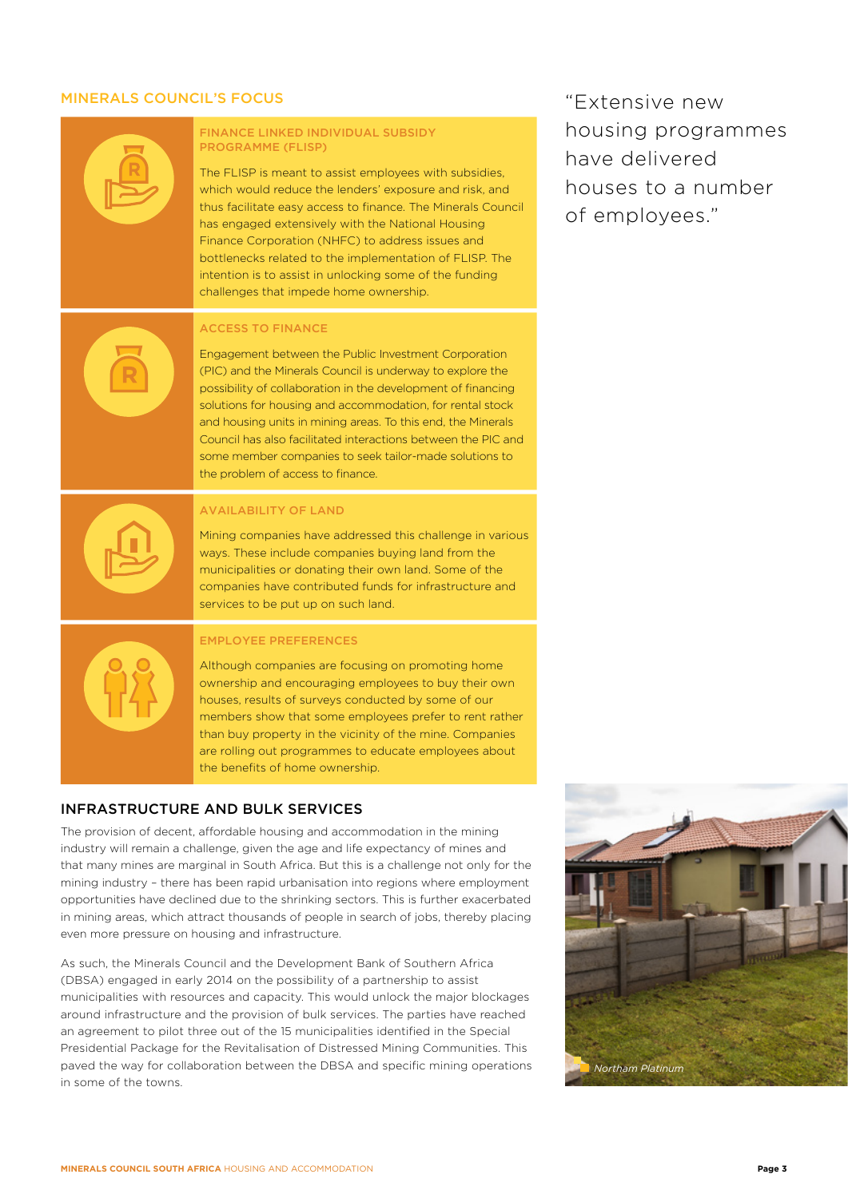### MINERALS COUNCIL'S FOCUS



#### INFRASTRUCTURE AND BULK SERVICES

The provision of decent, affordable housing and accommodation in the mining industry will remain a challenge, given the age and life expectancy of mines and that many mines are marginal in South Africa. But this is a challenge not only for the mining industry – there has been rapid urbanisation into regions where employment opportunities have declined due to the shrinking sectors. This is further exacerbated in mining areas, which attract thousands of people in search of jobs, thereby placing even more pressure on housing and infrastructure.

As such, the Minerals Council and the Development Bank of Southern Africa (DBSA) engaged in early 2014 on the possibility of a partnership to assist municipalities with resources and capacity. This would unlock the major blockages around infrastructure and the provision of bulk services. The parties have reached an agreement to pilot three out of the 15 municipalities identified in the Special Presidential Package for the Revitalisation of Distressed Mining Communities. This paved the way for collaboration between the DBSA and specific mining operations in some of the towns.